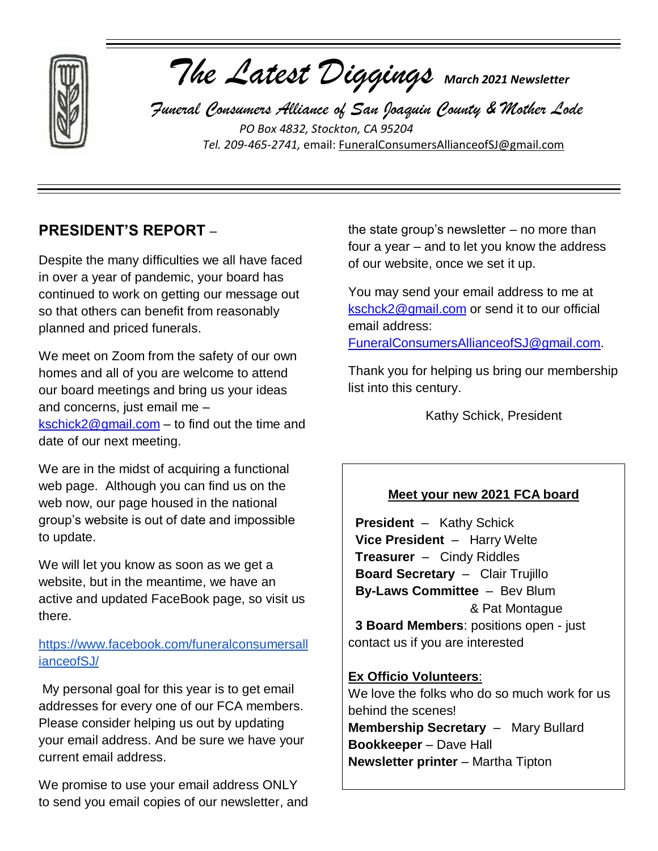

# *The Latest Diggings March 2021 Newsletter*

 *Funeral Consumers Alliance of San Joaquin County & Mother Lode PO Box 4832, Stockton, CA 95204 Tel. 209-465-2741,* email: [FuneralConsumersAllianceofSJ@gmail.com](mailto:FuneralConsumersAllianceofSJ@gmail.com)

# **PRESIDENT'S REPORT** –

Despite the many difficulties we all have faced in over a year of pandemic, your board has continued to work on getting our message out so that others can benefit from reasonably planned and priced funerals.

We meet on Zoom from the safety of our own homes and all of you are welcome to attend our board meetings and bring us your ideas and concerns, just email me – [kschick2@gmail.com](mailto:kschick2@gmail.com) – to find out the time and date of our next meeting.

We are in the midst of acquiring a functional web page. Although you can find us on the web now, our page housed in the national group's website is out of date and impossible to update.

We will let you know as soon as we get a website, but in the meantime, we have an active and updated FaceBook page, so visit us there.

## [https://www.facebook.com/funeralconsumersall](https://www.facebook.com/funeralconsumersallianceofSJ/) [ianceofSJ/](https://www.facebook.com/funeralconsumersallianceofSJ/)

My personal goal for this year is to get email addresses for every one of our FCA members. Please consider helping us out by updating your email address. And be sure we have your current email address.

We promise to use your email address ONLY to send you email copies of our newsletter, and the state group's newsletter – no more than four a year – and to let you know the address of our website, once we set it up.

You may send your email address to me at [kschck2@gmail.com](mailto:kschck2@gmail.com) or send it to our official email address:

[FuneralConsumersAllianceofSJ@gmail.com.](mailto:FuneralConsumersAllianceofSJ@gmail.com)

Thank you for helping us bring our membership list into this century.

Kathy Schick, President

## **Meet your new 2021 FCA board**

 **President** – Kathy Schick **Vice President** – Harry Welte **Treasurer** – Cindy Riddles **Board Secretary** – Clair Trujillo **By-Laws Committee** – Bev Blum & Pat Montague  **3 Board Members**: positions open - just contact us if you are interested

**Ex Officio Volunteers**: We love the folks who do so much work for us behind the scenes! **Membership Secretary** – Mary Bullard **Bookkeeper** – Dave Hall **Newsletter printer** – Martha Tipton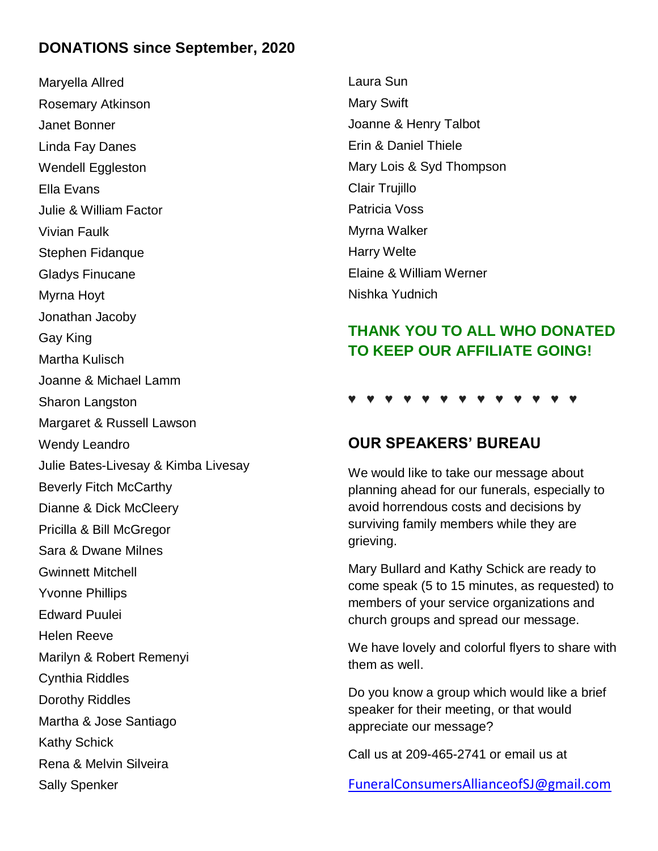## **DONATIONS since September, 2020**

Maryella Allred Rosemary Atkinson Janet Bonner Linda Fay Danes Wendell Eggleston Ella Evans Julie & William Factor Vivian Faulk Stephen Fidanque Gladys Finucane Myrna Hoyt Jonathan Jacoby Gay King Martha Kulisch Joanne & Michael Lamm Sharon Langston Margaret & Russell Lawson Wendy Leandro Julie Bates-Livesay & Kimba Livesay Beverly Fitch McCarthy Dianne & Dick McCleery Pricilla & Bill McGregor Sara & Dwane Milnes Gwinnett Mitchell Yvonne Phillips Edward Puulei Helen Reeve Marilyn & Robert Remenyi Cynthia Riddles Dorothy Riddles Martha & Jose Santiago Kathy Schick Rena & Melvin Silveira Sally Spenker

Laura Sun Mary Swift Joanne & Henry Talbot Erin & Daniel Thiele Mary Lois & Syd Thompson Clair Trujillo Patricia Voss Myrna Walker Harry Welte Elaine & William Werner Nishka Yudnich

# **THANK YOU TO ALL WHO DONATED TO KEEP OUR AFFILIATE GOING!**

#### ♥ ♥ ♥ ♥ ♥ ♥ ♥ ♥ ♥ ♥ ♥ ♥ ♥

## **OUR SPEAKERS' BUREAU**

We would like to take our message about planning ahead for our funerals, especially to avoid horrendous costs and decisions by surviving family members while they are grieving.

Mary Bullard and Kathy Schick are ready to come speak (5 to 15 minutes, as requested) to members of your service organizations and church groups and spread our message.

We have lovely and colorful flyers to share with them as well.

Do you know a group which would like a brief speaker for their meeting, or that would appreciate our message?

Call us at 209-465-2741 or email us at

[FuneralConsumersAllianceofSJ@gmail.com](mailto:FuneralConsumersAllianceofSJ@gmail.com)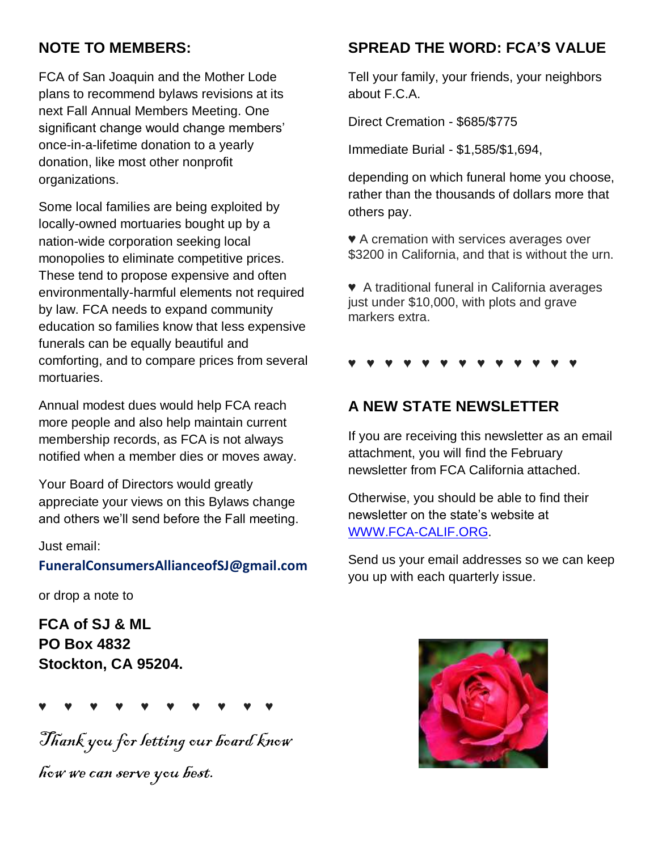# **NOTE TO MEMBERS:**

FCA of San Joaquin and the Mother Lode plans to recommend bylaws revisions at its next Fall Annual Members Meeting. One significant change would change members' once-in-a-lifetime donation to a yearly donation, like most other nonprofit organizations.

Some local families are being exploited by locally-owned mortuaries bought up by a nation-wide corporation seeking local monopolies to eliminate competitive prices. These tend to propose expensive and often environmentally-harmful elements not required by law. FCA needs to expand community education so families know that less expensive funerals can be equally beautiful and comforting, and to compare prices from several mortuaries.

Annual modest dues would help FCA reach more people and also help maintain current membership records, as FCA is not always notified when a member dies or moves away.

Your Board of Directors would greatly appreciate your views on this Bylaws change and others we'll send before the Fall meeting.

#### Just email:

#### **[FuneralConsumersAllianceofSJ@gmail.com](mailto:FuneralConsumersAllianceofSJ@gmail.com)**

or drop a note to

**FCA of SJ & ML PO Box 4832 Stockton, CA 95204.**

```
♥ ♥ ♥ ♥ ♥ ♥ ♥ ♥ ♥ ♥
```
Thank you for letting our board know

how we can serve you best.

# **SPREAD THE WORD: FCA'S VALUE**

Tell your family, your friends, your neighbors about F.C.A.

Direct Cremation - \$685/\$775

Immediate Burial - \$1,585/\$1,694,

depending on which funeral home you choose, rather than the thousands of dollars more that others pay.

♥ A cremation with services averages over \$3200 in California, and that is without the urn.

♥ A traditional funeral in California averages just under \$10,000, with plots and grave markers extra.

♥ ♥ ♥ ♥ ♥ ♥ ♥ ♥ ♥ ♥ ♥ ♥ ♥

# **A NEW STATE NEWSLETTER**

If you are receiving this newsletter as an email attachment, you will find the February newsletter from FCA California attached.

Otherwise, you should be able to find their newsletter on the state's website at [WWW.FCA-CALIF.ORG.](http://www.fca-calif.org/)

Send us your email addresses so we can keep you up with each quarterly issue.